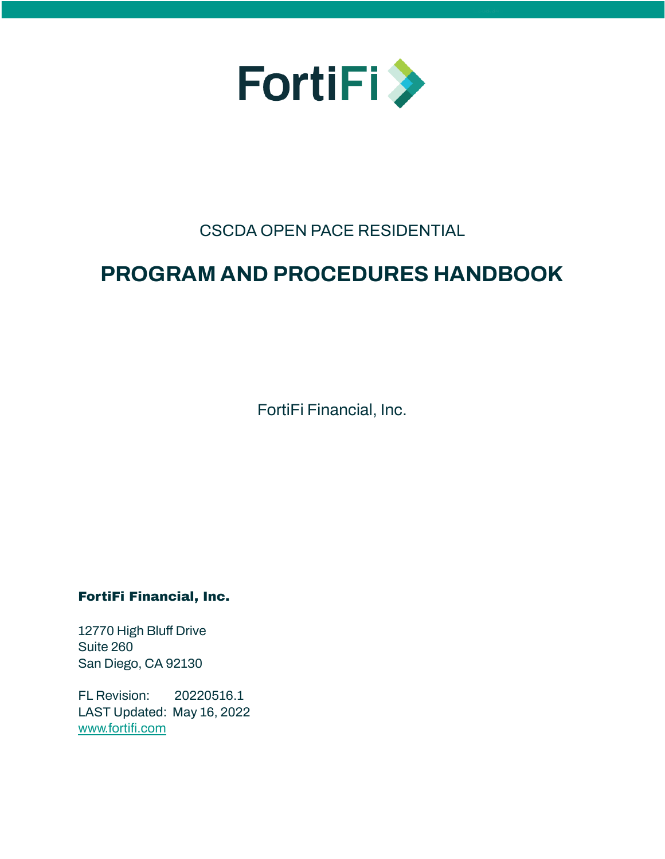

# CSCDA OPEN PACE RESIDENTIAL

# **PROGRAM AND PROCEDURES HANDBOOK**

FortiFi Financial, Inc.

# FortiFi Financial, Inc.

12770 High Bluff Drive Suite 260 San Diego, CA 92130

FL Revision: 20220516.1 LAST Updated: May 16, 2022 [www.fortifi.com](http://www.fortifi.com)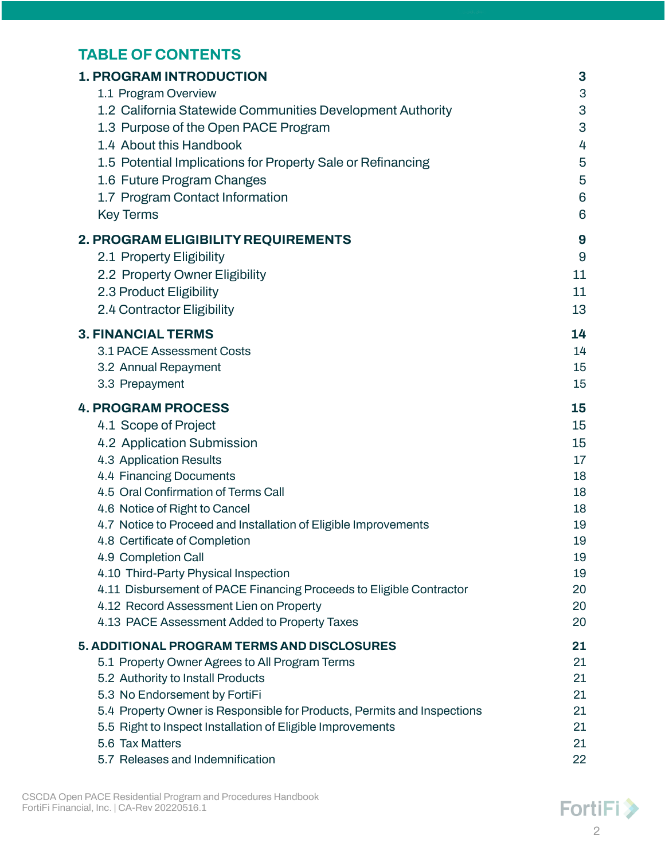# **TABLE OF CONTENTS**

| <b>1. PROGRAM INTRODUCTION</b>                                          | 3  |
|-------------------------------------------------------------------------|----|
| 1.1 Program Overview                                                    | 3  |
| 1.2 California Statewide Communities Development Authority              | 3  |
| 1.3 Purpose of the Open PACE Program                                    | 3  |
| 1.4 About this Handbook                                                 | 4  |
| 1.5 Potential Implications for Property Sale or Refinancing             | 5  |
| 1.6 Future Program Changes                                              | 5  |
| 1.7 Program Contact Information                                         | 6  |
| <b>Key Terms</b>                                                        | 6  |
| 2. PROGRAM ELIGIBILITY REQUIREMENTS                                     | 9  |
| 2.1 Property Eligibility                                                | 9  |
| 2.2 Property Owner Eligibility                                          | 11 |
| 2.3 Product Eligibility                                                 | 11 |
| 2.4 Contractor Eligibility                                              | 13 |
|                                                                         |    |
| <b>3. FINANCIAL TERMS</b>                                               | 14 |
| 3.1 PACE Assessment Costs                                               | 14 |
| 3.2 Annual Repayment                                                    | 15 |
| 3.3 Prepayment                                                          | 15 |
| <b>4. PROGRAM PROCESS</b>                                               | 15 |
| 4.1 Scope of Project                                                    | 15 |
| 4.2 Application Submission                                              | 15 |
| 4.3 Application Results                                                 | 17 |
| 4.4 Financing Documents                                                 | 18 |
| 4.5 Oral Confirmation of Terms Call                                     | 18 |
| 4.6 Notice of Right to Cancel                                           | 18 |
| 4.7 Notice to Proceed and Installation of Eligible Improvements         | 19 |
| 4.8 Certificate of Completion                                           | 19 |
| 4.9 Completion Call                                                     | 19 |
| 4.10 Third-Party Physical Inspection                                    | 19 |
| 4.11 Disbursement of PACE Financing Proceeds to Eligible Contractor     | 20 |
| 4.12 Record Assessment Lien on Property                                 | 20 |
| 4.13 PACE Assessment Added to Property Taxes                            | 20 |
| 5. ADDITIONAL PROGRAM TERMS AND DISCLOSURES                             | 21 |
| 5.1 Property Owner Agrees to All Program Terms                          | 21 |
| 5.2 Authority to Install Products                                       | 21 |
| 5.3 No Endorsement by FortiFi                                           | 21 |
| 5.4 Property Owner is Responsible for Products, Permits and Inspections | 21 |
| 5.5 Right to Inspect Installation of Eligible Improvements              | 21 |
| 5.6 Tax Matters                                                         | 21 |
| 5.7 Releases and Indemnification                                        | 22 |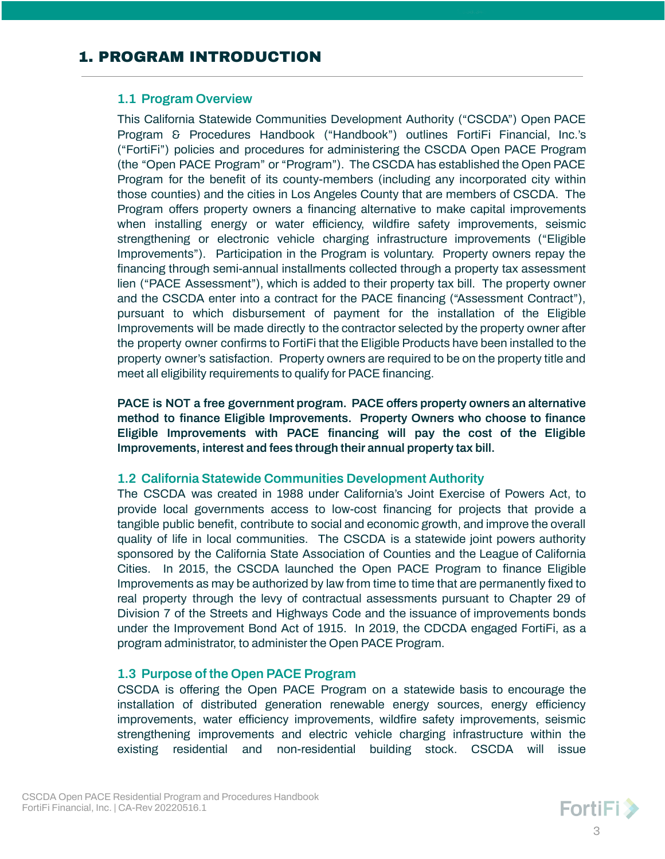# <span id="page-2-1"></span><span id="page-2-0"></span>**1.1 Program Overview**

This California Statewide Communities Development Authority ("CSCDA") Open PACE Program & Procedures Handbook ("Handbook") outlines FortiFi Financial, Inc.'s ("FortiFi") policies and procedures for administering the CSCDA Open PACE Program (the "Open PACE Program" or "Program"). The CSCDA has established the Open PACE Program for the benefit of its county-members (including any incorporated city within those counties) and the cities in Los Angeles County that are members of CSCDA. The Program offers property owners a financing alternative to make capital improvements when installing energy or water efficiency, wildfire safety improvements, seismic strengthening or electronic vehicle charging infrastructure improvements ("Eligible Improvements"). Participation in the Program is voluntary. Property owners repay the financing through semi-annual installments collected through a property tax assessment lien ("PACE Assessment"), which is added to their property tax bill. The property owner and the CSCDA enter into a contract for the PACE financing ("Assessment Contract"), pursuant to which disbursement of payment for the installation of the Eligible Improvements will be made directly to the contractor selected by the property owner after the property owner confirms to FortiFi that the Eligible Products have been installed to the property owner's satisfaction. Property owners are required to be on the property title and meet all eligibility requirements to qualify for PACE financing.

**PACE is NOT a free government program. PACE offers property owners an alternative method to finance Eligible Improvements. Property Owners who choose to finance Eligible Improvements with PACE financing will pay the cost of the Eligible Improvements, interest and fees through their annual property tax bill.**

# <span id="page-2-2"></span>**1.2 California Statewide Communities Development Authority**

The CSCDA was created in 1988 under California's Joint Exercise of Powers Act, to provide local governments access to low-cost financing for projects that provide a tangible public benefit, contribute to social and economic growth, and improve the overall quality of life in local communities. The CSCDA is a statewide joint powers authority sponsored by the California State Association of Counties and the League of California Cities. In 2015, the CSCDA launched the Open PACE Program to finance Eligible Improvements as may be authorized by law from time to time that are permanently fixed to real property through the levy of contractual assessments pursuant to Chapter 29 of Division 7 of the Streets and Highways Code and the issuance of improvements bonds under the Improvement Bond Act of 1915. In 2019, the CDCDA engaged FortiFi, as a program administrator, to administer the Open PACE Program.

# <span id="page-2-3"></span>**1.3 Purpose of the Open PACE Program**

CSCDA is offering the Open PACE Program on a statewide basis to encourage the installation of distributed generation renewable energy sources, energy efficiency improvements, water efficiency improvements, wildfire safety improvements, seismic strengthening improvements and electric vehicle charging infrastructure within the existing residential and non-residential building stock. CSCDA will issue

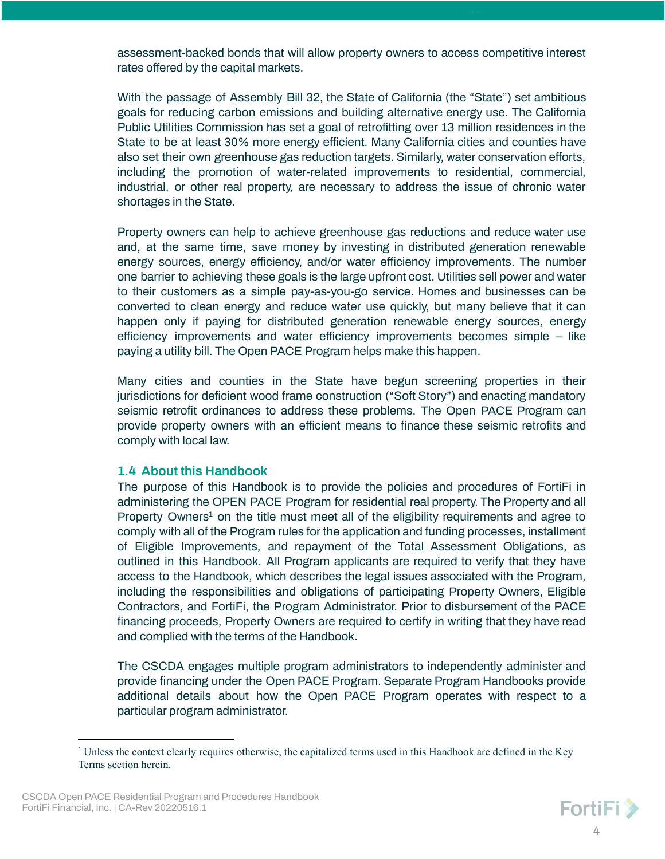assessment-backed bonds that will allow property owners to access competitive interest rates offered by the capital markets.

With the passage of Assembly Bill 32, the State of California (the "State") set ambitious goals for reducing carbon emissions and building alternative energy use. The California Public Utilities Commission has set a goal of retrofitting over 13 million residences in the State to be at least 30% more energy efficient. Many California cities and counties have also set their own greenhouse gas reduction targets. Similarly, water conservation efforts, including the promotion of water-related improvements to residential, commercial, industrial, or other real property, are necessary to address the issue of chronic water shortages in the State.

Property owners can help to achieve greenhouse gas reductions and reduce water use and, at the same time, save money by investing in distributed generation renewable energy sources, energy efficiency, and/or water efficiency improvements. The number one barrier to achieving these goals is the large upfront cost. Utilities sell power and water to their customers as a simple pay-as-you-go service. Homes and businesses can be converted to clean energy and reduce water use quickly, but many believe that it can happen only if paying for distributed generation renewable energy sources, energy efficiency improvements and water efficiency improvements becomes simple – like paying a utility bill. The Open PACE Program helps make this happen.

Many cities and counties in the State have begun screening properties in their jurisdictions for deficient wood frame construction ("Soft Story") and enacting mandatory seismic retrofit ordinances to address these problems. The Open PACE Program can provide property owners with an efficient means to finance these seismic retrofits and comply with local law.

#### <span id="page-3-0"></span>**1.4 About this Handbook**

The purpose of this Handbook is to provide the policies and procedures of FortiFi in administering the OPEN PACE Program for residential real property. The Property and all Property Owners<sup>1</sup> on the title must meet all of the eligibility requirements and agree to comply with all of the Program rules for the application and funding processes, installment of Eligible Improvements, and repayment of the Total Assessment Obligations, as outlined in this Handbook. All Program applicants are required to verify that they have access to the Handbook, which describes the legal issues associated with the Program, including the responsibilities and obligations of participating Property Owners, Eligible Contractors, and FortiFi, the Program Administrator. Prior to disbursement of the PACE financing proceeds, Property Owners are required to certify in writing that they have read and complied with the terms of the Handbook.

The CSCDA engages multiple program administrators to independently administer and provide financing under the Open PACE Program. Separate Program Handbooks provide additional details about how the Open PACE Program operates with respect to a particular program administrator.

<sup>1</sup> Unless the context clearly requires otherwise, the capitalized terms used in this Handbook are defined in the Key Terms section herein.

CSCDA Open PACE Residential Program and Procedures Handbook FortiFi Financial, Inc. | CA-Rev 20220516.1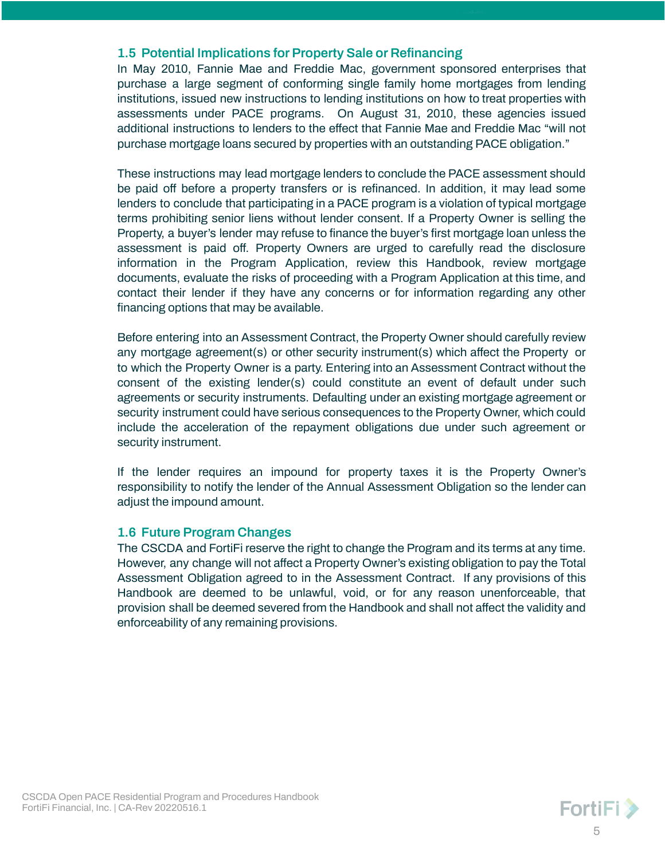# <span id="page-4-0"></span>**1.5 Potential Implications for Property Sale or Refinancing**

In May 2010, Fannie Mae and Freddie Mac, government sponsored enterprises that purchase a large segment of conforming single family home mortgages from lending institutions, issued new instructions to lending institutions on how to treat properties with assessments under PACE programs. On August 31, 2010, these agencies issued additional instructions to lenders to the effect that Fannie Mae and Freddie Mac "will not purchase mortgage loans secured by properties with an outstanding PACE obligation."

These instructions may lead mortgage lenders to conclude the PACE assessment should be paid off before a property transfers or is refinanced. In addition, it may lead some lenders to conclude that participating in a PACE program is a violation of typical mortgage terms prohibiting senior liens without lender consent. If a Property Owner is selling the Property, a buyer's lender may refuse to finance the buyer's first mortgage loan unless the assessment is paid off. Property Owners are urged to carefully read the disclosure information in the Program Application, review this Handbook, review mortgage documents, evaluate the risks of proceeding with a Program Application at this time, and contact their lender if they have any concerns or for information regarding any other financing options that may be available.

Before entering into an Assessment Contract, the Property Owner should carefully review any mortgage agreement(s) or other security instrument(s) which affect the Property or to which the Property Owner is a party. Entering into an Assessment Contract without the consent of the existing lender(s) could constitute an event of default under such agreements or security instruments. Defaulting under an existing mortgage agreement or security instrument could have serious consequences to the Property Owner, which could include the acceleration of the repayment obligations due under such agreement or security instrument.

If the lender requires an impound for property taxes it is the Property Owner's responsibility to notify the lender of the Annual Assessment Obligation so the lender can adjust the impound amount.

# <span id="page-4-1"></span>**1.6 Future Program Changes**

The CSCDA and FortiFi reserve the right to change the Program and its terms at any time. However, any change will not affect a Property Owner's existing obligation to pay the Total Assessment Obligation agreed to in the Assessment Contract. If any provisions of this Handbook are deemed to be unlawful, void, or for any reason unenforceable, that provision shall be deemed severed from the Handbook and shall not affect the validity and enforceability of any remaining provisions.

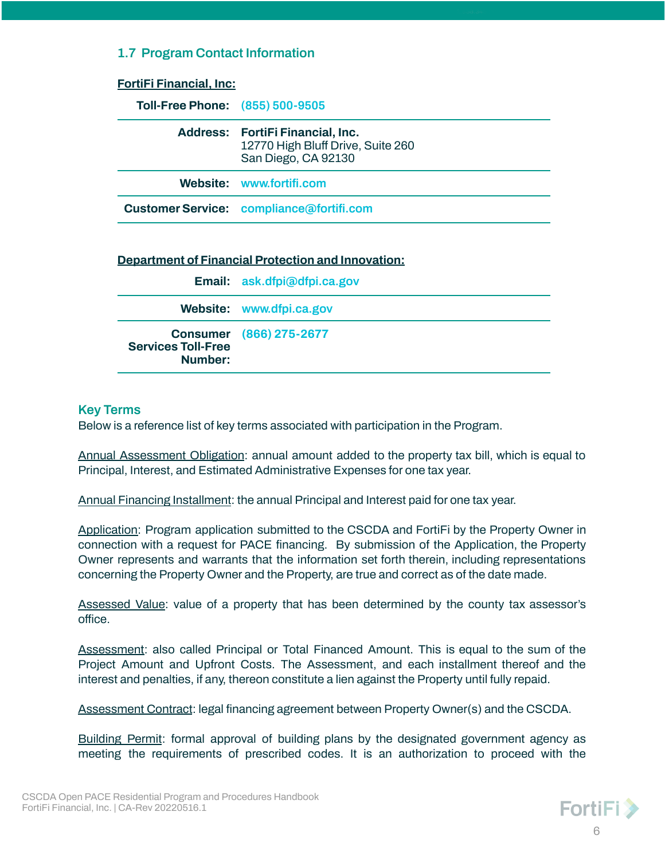# <span id="page-5-0"></span>**1.7 Program Contact Information**

| <b>FortiFi Financial, Inc:</b>         |                                                                                              |
|----------------------------------------|----------------------------------------------------------------------------------------------|
| <b>Toll-Free Phone: (855) 500-9505</b> |                                                                                              |
|                                        | Address: FortiFi Financial, Inc.<br>12770 High Bluff Drive, Suite 260<br>San Diego, CA 92130 |
|                                        | Website: www.fortifi.com                                                                     |
|                                        | <b>Customer Service: compliance</b> @fortifi.com                                             |
|                                        | <b>Department of Financial Protection and Innovation:</b>                                    |
|                                        |                                                                                              |
|                                        | Email: ask.dfpi@dfpi.ca.gov                                                                  |
|                                        | Website: www.dfpi.ca.gov                                                                     |

**Number:**

**Services Toll-Free**

#### <span id="page-5-1"></span>**Key Terms**

Below is a reference list of key terms associated with participation in the Program.

**Consumer (866) 275-2677**

Annual Assessment Obligation: annual amount added to the property tax bill, which is equal to Principal, Interest, and Estimated Administrative Expenses for one tax year.

Annual Financing Installment: the annual Principal and Interest paid for one tax year.

Application: Program application submitted to the CSCDA and FortiFi by the Property Owner in connection with a request for PACE financing. By submission of the Application, the Property Owner represents and warrants that the information set forth therein, including representations concerning the Property Owner and the Property, are true and correct as of the date made.

Assessed Value: value of a property that has been determined by the county tax assessor's office.

Assessment: also called Principal or Total Financed Amount. This is equal to the sum of the Project Amount and Upfront Costs. The Assessment, and each installment thereof and the interest and penalties, if any, thereon constitute a lien against the Property until fully repaid.

Assessment Contract: legal financing agreement between Property Owner(s) and the CSCDA.

Building Permit: formal approval of building plans by the designated government agency as meeting the requirements of prescribed codes. It is an authorization to proceed with the

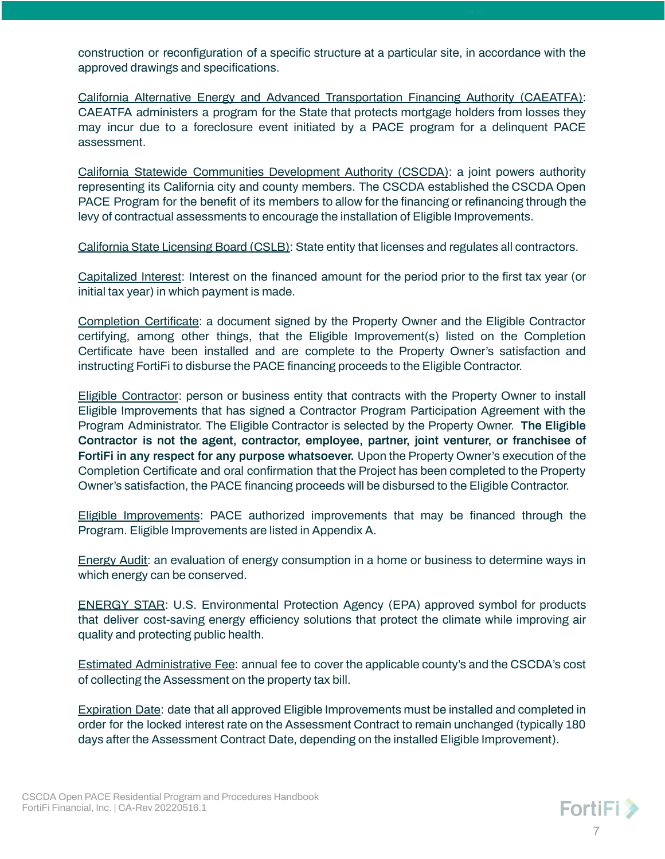construction or reconfiguration of a specific structure at a particular site, in accordance with the approved drawings and specifications.

California Alternative Energy and Advanced Transportation Financing Authority (CAEATFA): CAEATFA administers a program for the State that protects mortgage holders from losses they may incur due to a foreclosure event initiated by a PACE program for a delinquent PACE assessment.

California Statewide Communities Development Authority (CSCDA): a joint powers authority representing its California city and county members. The CSCDA established the CSCDA Open PACE Program for the benefit of its members to allow for the financing or refinancing through the levy of contractual assessments to encourage the installation of Eligible Improvements.

California State Licensing Board (CSLB): State entity that licenses and regulates all contractors.

Capitalized Interest: Interest on the financed amount for the period prior to the first tax year (or initial tax year) in which payment is made.

Completion Certificate: a document signed by the Property Owner and the Eligible Contractor certifying, among other things, that the Eligible Improvement(s) listed on the Completion Certificate have been installed and are complete to the Property Owner's satisfaction and instructing FortiFi to disburse the PACE financing proceeds to the Eligible Contractor.

Eligible Contractor: person or business entity that contracts with the Property Owner to install Eligible Improvements that has signed a Contractor Program Participation Agreement with the Program Administrator. The Eligible Contractor is selected by the Property Owner. **The Eligible Contractor is not the agent, contractor, employee, partner, joint venturer, or franchisee of FortiFi in any respect for any purpose whatsoever.** Upon the Property Owner's execution of the Completion Certificate and oral confirmation that the Project has been completed to the Property Owner's satisfaction, the PACE financing proceeds will be disbursed to the Eligible Contractor.

Eligible Improvements: PACE authorized improvements that may be financed through the Program. Eligible Improvements are listed in Appendix A.

Energy Audit: an evaluation of energy consumption in a home or business to determine ways in which energy can be conserved.

ENERGY STAR: U.S. Environmental Protection Agency (EPA) approved symbol for products that deliver cost-saving energy efficiency solutions that protect the climate while improving air quality and protecting public health.

Estimated Administrative Fee: annual fee to cover the applicable county's and the CSCDA's cost of collecting the Assessment on the property tax bill.

Expiration Date: date that all approved Eligible Improvements must be installed and completed in order for the locked interest rate on the Assessment Contract to remain unchanged (typically 180 days after the Assessment Contract Date, depending on the installed Eligible Improvement).

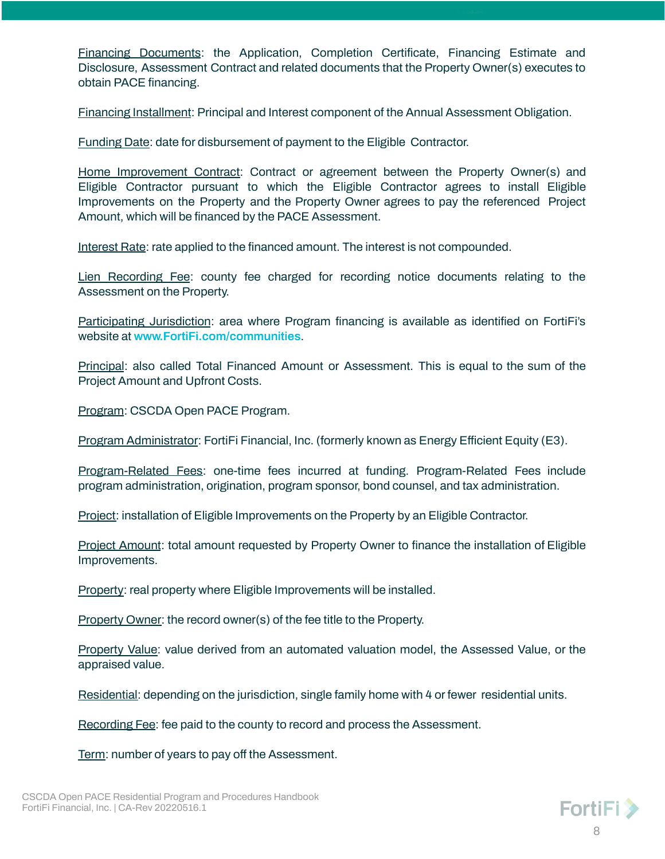Financing Documents: the Application, Completion Certificate, Financing Estimate and Disclosure, Assessment Contract and related documents that the Property Owner(s) executes to obtain PACE financing.

Financing Installment: Principal and Interest component of the Annual Assessment Obligation.

Funding Date: date for disbursement of payment to the Eligible Contractor.

Home Improvement Contract: Contract or agreement between the Property Owner(s) and Eligible Contractor pursuant to which the Eligible Contractor agrees to install Eligible Improvements on the Property and the Property Owner agrees to pay the referenced Project Amount, which will be financed by the PACE Assessment.

Interest Rate: rate applied to the financed amount. The interest is not compounded.

Lien Recording Fee: county fee charged for recording notice documents relating to the Assessment on the Property.

Participating Jurisdiction: area where Program financing is available as identified on FortiFi's website at **[www.FortiFi.com/communities](http://www.fortifi.com/communities)**.

Principal: also called Total Financed Amount or Assessment. This is equal to the sum of the Project Amount and Upfront Costs.

Program: CSCDA Open PACE Program.

Program Administrator: FortiFi Financial, Inc. (formerly known as Energy Efficient Equity (E3).

Program-Related Fees: one-time fees incurred at funding. Program-Related Fees include program administration, origination, program sponsor, bond counsel, and tax administration.

Project: installation of Eligible Improvements on the Property by an Eligible Contractor.

Project Amount: total amount requested by Property Owner to finance the installation of Eligible Improvements.

Property: real property where Eligible Improvements will be installed.

Property Owner: the record owner(s) of the fee title to the Property.

Property Value: value derived from an automated valuation model, the Assessed Value, or the appraised value.

Residential: depending on the jurisdiction, single family home with 4 or fewer residential units.

Recording Fee: fee paid to the county to record and process the Assessment.

Term: number of years to pay off the Assessment.

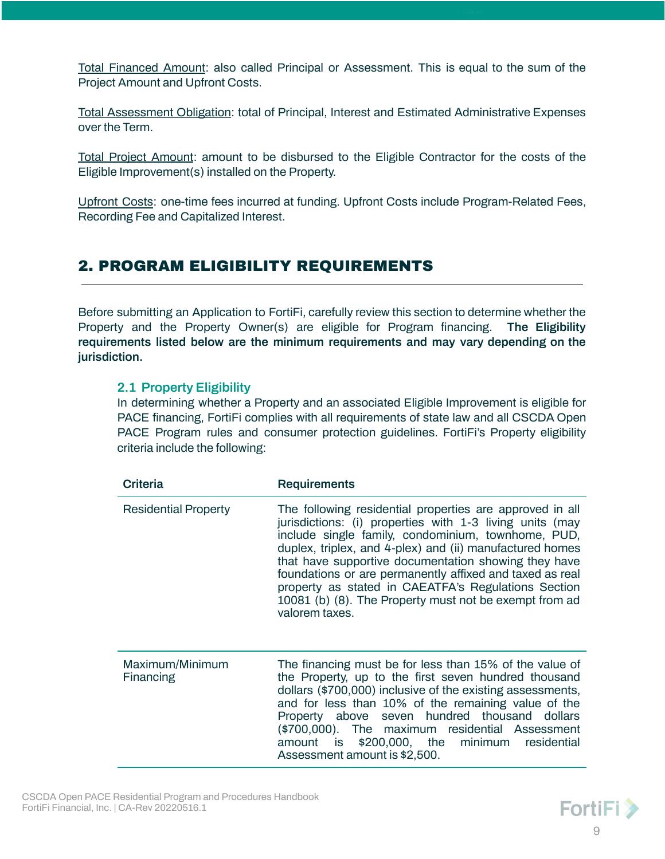Total Financed Amount: also called Principal or Assessment. This is equal to the sum of the Project Amount and Upfront Costs.

Total Assessment Obligation: total of Principal, Interest and Estimated Administrative Expenses over the Term.

Total Project Amount: amount to be disbursed to the Eligible Contractor for the costs of the Eligible Improvement(s) installed on the Property.

Upfront Costs: one-time fees incurred at funding. Upfront Costs include Program-Related Fees, Recording Fee and Capitalized Interest.

# <span id="page-8-0"></span>2. PROGRAM ELIGIBILITY REQUIREMENTS

Before submitting an Application to FortiFi, carefully review this section to determine whether the Property and the Property Owner(s) are eligible for Program financing. **The Eligibility requirements listed below are the minimum requirements and may vary depending on the jurisdiction.**

# <span id="page-8-1"></span>**2.1 Property Eligibility**

In determining whether a Property and an associated Eligible Improvement is eligible for PACE financing, FortiFi complies with all requirements of state law and all CSCDA Open PACE Program rules and consumer protection guidelines. FortiFi's Property eligibility criteria include the following:

| Criteria                     | <b>Requirements</b>                                                                                                                                                                                                                                                                                                                                                                                                                                                                           |
|------------------------------|-----------------------------------------------------------------------------------------------------------------------------------------------------------------------------------------------------------------------------------------------------------------------------------------------------------------------------------------------------------------------------------------------------------------------------------------------------------------------------------------------|
| <b>Residential Property</b>  | The following residential properties are approved in all<br>jurisdictions: (i) properties with 1-3 living units (may<br>include single family, condominium, townhome, PUD,<br>duplex, triplex, and 4-plex) and (ii) manufactured homes<br>that have supportive documentation showing they have<br>foundations or are permanently affixed and taxed as real<br>property as stated in CAEATFA's Regulations Section<br>10081 (b) (8). The Property must not be exempt from ad<br>valorem taxes. |
| Maximum/Minimum<br>Financing | The financing must be for less than 15% of the value of<br>the Property, up to the first seven hundred thousand<br>dollars (\$700,000) inclusive of the existing assessments,<br>and for less than 10% of the remaining value of the<br>Property above seven hundred thousand dollars<br>(\$700,000). The maximum residential Assessment<br>amount is \$200,000, the minimum<br>residential<br>Assessment amount is \$2,500.                                                                  |

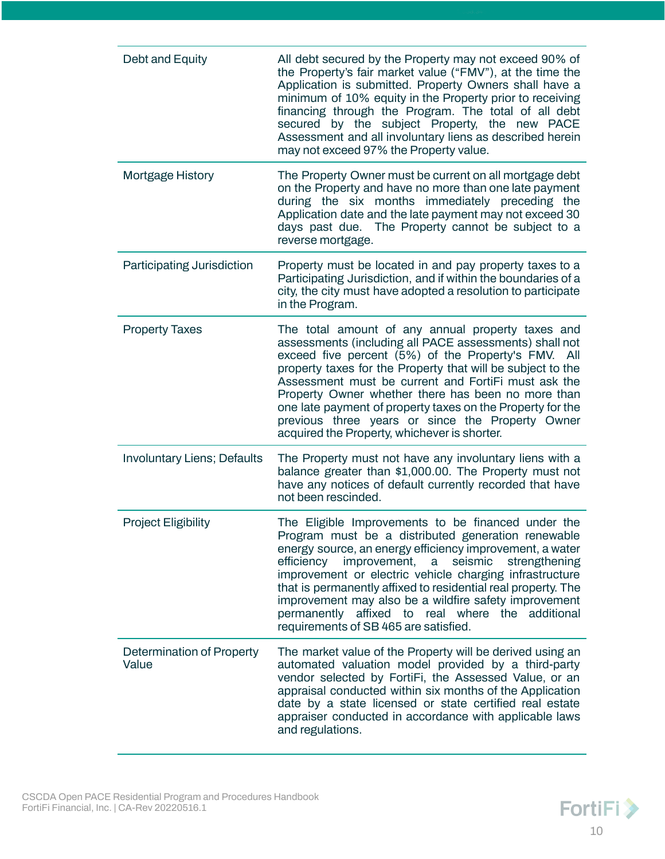| Debt and Equity                    | All debt secured by the Property may not exceed 90% of<br>the Property's fair market value ("FMV"), at the time the<br>Application is submitted. Property Owners shall have a<br>minimum of 10% equity in the Property prior to receiving<br>financing through the Program. The total of all debt<br>secured by the subject Property, the new PACE<br>Assessment and all involuntary liens as described herein<br>may not exceed 97% the Property value.                                                         |
|------------------------------------|------------------------------------------------------------------------------------------------------------------------------------------------------------------------------------------------------------------------------------------------------------------------------------------------------------------------------------------------------------------------------------------------------------------------------------------------------------------------------------------------------------------|
| <b>Mortgage History</b>            | The Property Owner must be current on all mortgage debt<br>on the Property and have no more than one late payment<br>during the six months immediately preceding the<br>Application date and the late payment may not exceed 30<br>days past due. The Property cannot be subject to a<br>reverse mortgage.                                                                                                                                                                                                       |
| <b>Participating Jurisdiction</b>  | Property must be located in and pay property taxes to a<br>Participating Jurisdiction, and if within the boundaries of a<br>city, the city must have adopted a resolution to participate<br>in the Program.                                                                                                                                                                                                                                                                                                      |
| <b>Property Taxes</b>              | The total amount of any annual property taxes and<br>assessments (including all PACE assessments) shall not<br>exceed five percent (5%) of the Property's FMV. All<br>property taxes for the Property that will be subject to the<br>Assessment must be current and FortiFi must ask the<br>Property Owner whether there has been no more than<br>one late payment of property taxes on the Property for the<br>previous three years or since the Property Owner<br>acquired the Property, whichever is shorter. |
| <b>Involuntary Liens; Defaults</b> | The Property must not have any involuntary liens with a<br>balance greater than \$1,000.00. The Property must not<br>have any notices of default currently recorded that have<br>not been rescinded.                                                                                                                                                                                                                                                                                                             |
| <b>Project Eligibility</b>         | The Eligible Improvements to be financed under the<br>Program must be a distributed generation renewable<br>energy source, an energy efficiency improvement, a water<br>improvement, a seismic<br>efficiency<br>strengthening<br>improvement or electric vehicle charging infrastructure<br>that is permanently affixed to residential real property. The<br>improvement may also be a wildfire safety improvement<br>permanently affixed to real where the additional<br>requirements of SB 465 are satisfied.  |
| Determination of Property<br>Value | The market value of the Property will be derived using an<br>automated valuation model provided by a third-party<br>vendor selected by FortiFi, the Assessed Value, or an<br>appraisal conducted within six months of the Application<br>date by a state licensed or state certified real estate<br>appraiser conducted in accordance with applicable laws<br>and regulations.                                                                                                                                   |

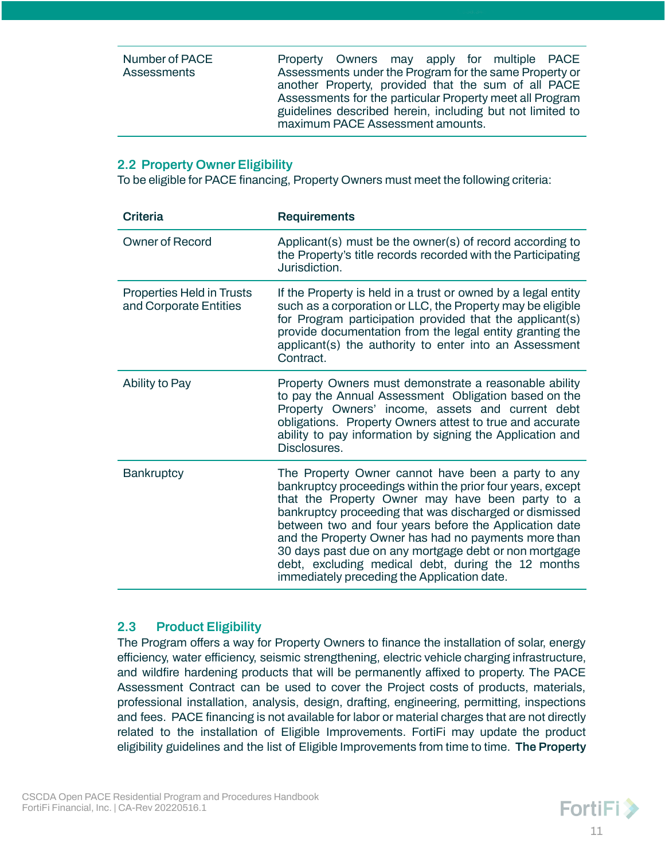| Number of PACE | Property Owners may apply for multiple PACE               |  |  |  |
|----------------|-----------------------------------------------------------|--|--|--|
| Assessments    | Assessments under the Program for the same Property or    |  |  |  |
|                | another Property, provided that the sum of all PACE       |  |  |  |
|                | Assessments for the particular Property meet all Program  |  |  |  |
|                | guidelines described herein, including but not limited to |  |  |  |
|                | maximum PACE Assessment amounts.                          |  |  |  |

# <span id="page-10-0"></span>**2.2 Property Owner Eligibility**

To be eligible for PACE financing, Property Owners must meet the following criteria:

| <b>Criteria</b>                                     | <b>Requirements</b>                                                                                                                                                                                                                                                                                                                                                                                                                                                                                            |
|-----------------------------------------------------|----------------------------------------------------------------------------------------------------------------------------------------------------------------------------------------------------------------------------------------------------------------------------------------------------------------------------------------------------------------------------------------------------------------------------------------------------------------------------------------------------------------|
| <b>Owner of Record</b>                              | Applicant(s) must be the owner(s) of record according to<br>the Property's title records recorded with the Participating<br>Jurisdiction.                                                                                                                                                                                                                                                                                                                                                                      |
| Properties Held in Trusts<br>and Corporate Entities | If the Property is held in a trust or owned by a legal entity<br>such as a corporation or LLC, the Property may be eligible<br>for Program participation provided that the applicant(s)<br>provide documentation from the legal entity granting the<br>applicant(s) the authority to enter into an Assessment<br>Contract.                                                                                                                                                                                     |
| Ability to Pay                                      | Property Owners must demonstrate a reasonable ability<br>to pay the Annual Assessment Obligation based on the<br>Property Owners' income, assets and current debt<br>obligations. Property Owners attest to true and accurate<br>ability to pay information by signing the Application and<br>Disclosures.                                                                                                                                                                                                     |
| <b>Bankruptcy</b>                                   | The Property Owner cannot have been a party to any<br>bankruptcy proceedings within the prior four years, except<br>that the Property Owner may have been party to a<br>bankruptcy proceeding that was discharged or dismissed<br>between two and four years before the Application date<br>and the Property Owner has had no payments more than<br>30 days past due on any mortgage debt or non mortgage<br>debt, excluding medical debt, during the 12 months<br>immediately preceding the Application date. |

# <span id="page-10-1"></span>**2.3 Product Eligibility**

The Program offers a way for Property Owners to finance the installation of solar, energy efficiency, water efficiency, seismic strengthening, electric vehicle charging infrastructure, and wildfire hardening products that will be permanently affixed to property. The PACE Assessment Contract can be used to cover the Project costs of products, materials, professional installation, analysis, design, drafting, engineering, permitting, inspections and fees. PACE financing is not available for labor or material charges that are not directly related to the installation of Eligible Improvements. FortiFi may update the product eligibility guidelines and the list of Eligible Improvements from time to time. **The Property**

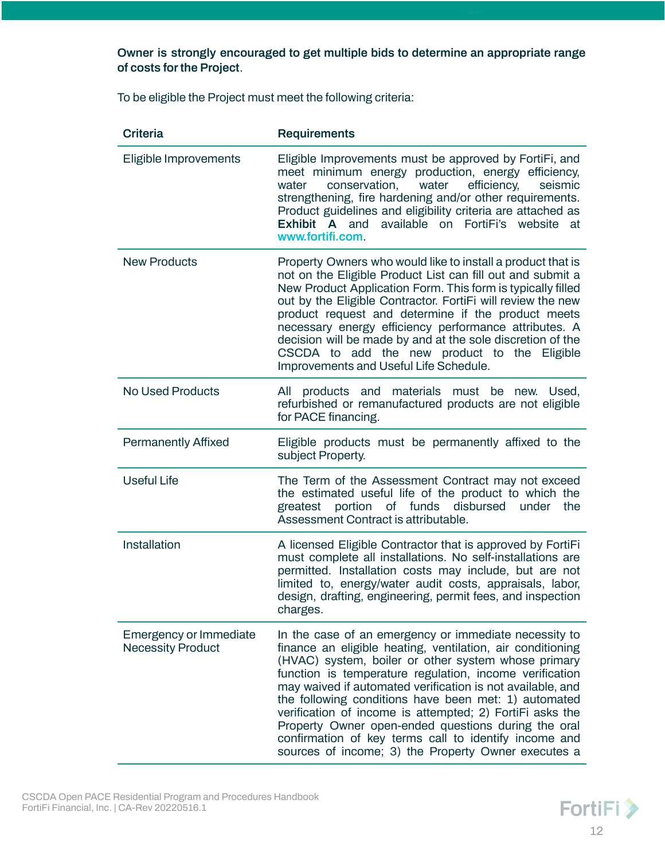# **Owner is strongly encouraged to get multiple bids to determine an appropriate range of costs forthe Project**.

To be eligible the Project must meet the following criteria:

| <b>Criteria</b>                                    | <b>Requirements</b>                                                                                                                                                                                                                                                                                                                                                                                                                                                                                                                                                                            |
|----------------------------------------------------|------------------------------------------------------------------------------------------------------------------------------------------------------------------------------------------------------------------------------------------------------------------------------------------------------------------------------------------------------------------------------------------------------------------------------------------------------------------------------------------------------------------------------------------------------------------------------------------------|
| Eligible Improvements                              | Eligible Improvements must be approved by FortiFi, and<br>meet minimum energy production, energy efficiency,<br>conservation,<br>efficiency,<br>water<br>seismic<br>water<br>strengthening, fire hardening and/or other requirements.<br>Product guidelines and eligibility criteria are attached as<br><b>Exhibit A and</b><br>available on FortiFi's website at<br>www.fortifi.com.                                                                                                                                                                                                          |
| <b>New Products</b>                                | Property Owners who would like to install a product that is<br>not on the Eligible Product List can fill out and submit a<br>New Product Application Form. This form is typically filled<br>out by the Eligible Contractor. FortiFi will review the new<br>product request and determine if the product meets<br>necessary energy efficiency performance attributes. A<br>decision will be made by and at the sole discretion of the<br>CSCDA to add the new product to the Eligible<br>Improvements and Useful Life Schedule.                                                                 |
| <b>No Used Products</b>                            | All products and materials must be new. Used,<br>refurbished or remanufactured products are not eligible<br>for PACE financing.                                                                                                                                                                                                                                                                                                                                                                                                                                                                |
| <b>Permanently Affixed</b>                         | Eligible products must be permanently affixed to the<br>subject Property.                                                                                                                                                                                                                                                                                                                                                                                                                                                                                                                      |
| <b>Useful Life</b>                                 | The Term of the Assessment Contract may not exceed<br>the estimated useful life of the product to which the<br>portion of funds disbursed<br>under<br>the<br>greatest<br>Assessment Contract is attributable.                                                                                                                                                                                                                                                                                                                                                                                  |
| Installation                                       | A licensed Eligible Contractor that is approved by FortiFi<br>must complete all installations. No self-installations are<br>permitted. Installation costs may include, but are not<br>limited to, energy/water audit costs, appraisals, labor,<br>design, drafting, engineering, permit fees, and inspection<br>charges.                                                                                                                                                                                                                                                                       |
| Emergency or Immediate<br><b>Necessity Product</b> | In the case of an emergency or immediate necessity to<br>finance an eligible heating, ventilation, air conditioning<br>(HVAC) system, boiler or other system whose primary<br>function is temperature regulation, income verification<br>may waived if automated verification is not available, and<br>the following conditions have been met: 1) automated<br>verification of income is attempted; 2) FortiFi asks the<br>Property Owner open-ended questions during the oral<br>confirmation of key terms call to identify income and<br>sources of income; 3) the Property Owner executes a |

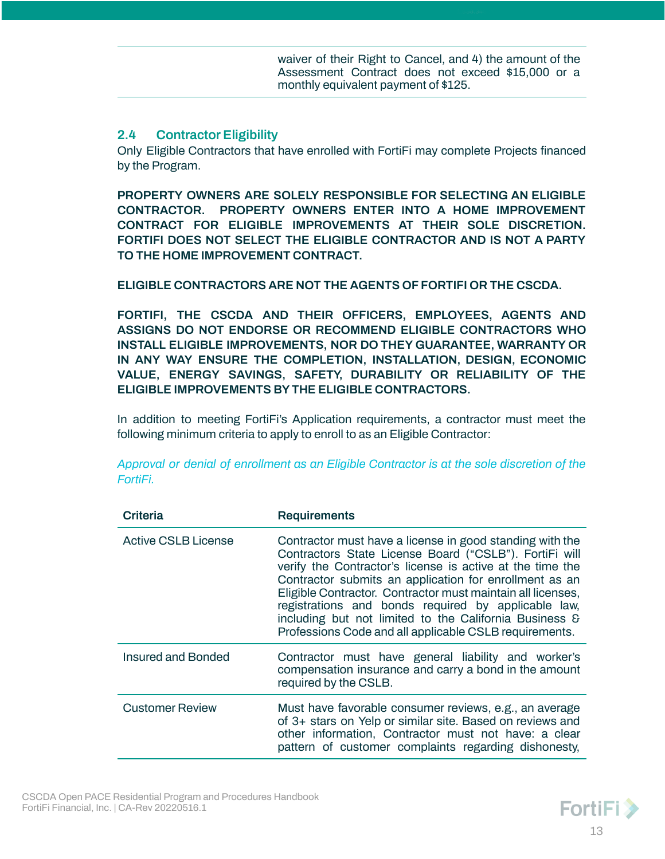waiver of their Right to Cancel, and 4) the amount of the Assessment Contract does not exceed \$15,000 or a monthly equivalent payment of \$125.

# <span id="page-12-0"></span>**2.4 Contractor Eligibility**

Only Eligible Contractors that have enrolled with FortiFi may complete Projects financed by the Program.

**PROPERTY OWNERS ARE SOLELY RESPONSIBLE FOR SELECTING AN ELIGIBLE CONTRACTOR. PROPERTY OWNERS ENTER INTO A HOME IMPROVEMENT CONTRACT FOR ELIGIBLE IMPROVEMENTS AT THEIR SOLE DISCRETION. FORTIFI DOES NOT SELECT THE ELIGIBLE CONTRACTOR AND IS NOT A PARTY TO THE HOME IMPROVEMENT CONTRACT.**

#### **ELIGIBLE CONTRACTORS ARE NOT THE AGENTS OF FORTIFI OR THE CSCDA.**

**FORTIFI, THE CSCDA AND THEIR OFFICERS, EMPLOYEES, AGENTS AND ASSIGNS DO NOT ENDORSE OR RECOMMEND ELIGIBLE CONTRACTORS WHO INSTALL ELIGIBLE IMPROVEMENTS, NOR DO THEY GUARANTEE, WARRANTY OR IN ANY WAY ENSURE THE COMPLETION, INSTALLATION, DESIGN, ECONOMIC VALUE, ENERGY SAVINGS, SAFETY, DURABILITY OR RELIABILITY OF THE ELIGIBLE IMPROVEMENTS BYTHE ELIGIBLE CONTRACTORS.**

In addition to meeting FortiFi's Application requirements, a contractor must meet the following minimum criteria to apply to enroll to as an Eligible Contractor:

**Criteria Requirements** Active CSLB License Contractor must have a license in good standing with the Contractors State License Board ("CSLB"). FortiFi will verify the Contractor's license is active at the time the Contractor submits an application for enrollment as an Eligible Contractor. Contractor must maintain all licenses, registrations and bonds required by applicable law, including but not limited to the California Business & Professions Code and all applicable CSLB requirements. Insured and Bonded Contractor must have general liability and worker's compensation insurance and carry a bond in the amount required by the CSLB. Customer Review Must have favorable consumer reviews, e.g., an average of 3+ stars on Yelp or similar site. Based on reviews and other information, Contractor must not have: a clear pattern of customer complaints regarding dishonesty,

*Approval or denial of enrollment as an Eligible Contractor is at the sole discretion of the FortiFi.*

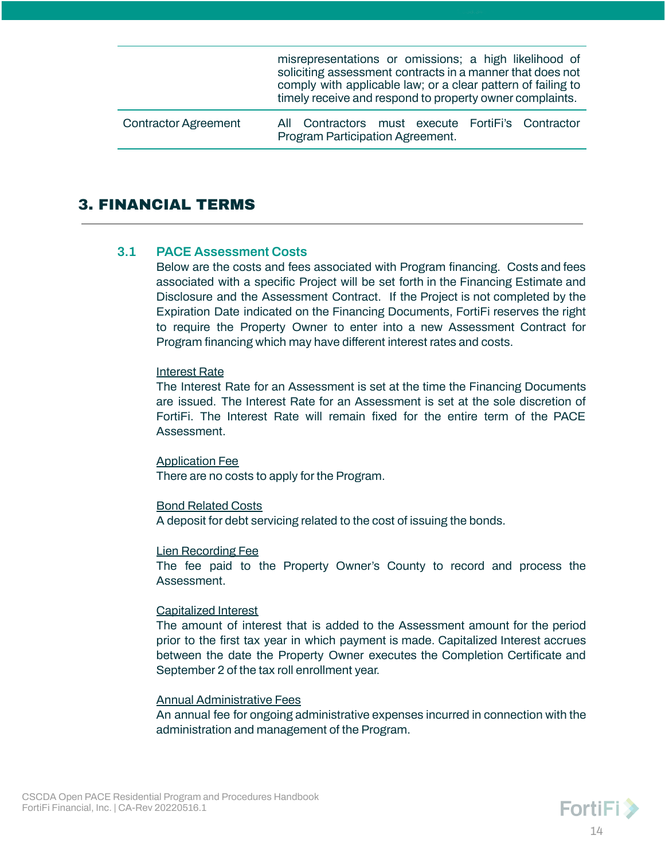|                             | misrepresentations or omissions; a high likelihood of<br>soliciting assessment contracts in a manner that does not<br>comply with applicable law; or a clear pattern of failing to<br>timely receive and respond to property owner complaints. |
|-----------------------------|------------------------------------------------------------------------------------------------------------------------------------------------------------------------------------------------------------------------------------------------|
| <b>Contractor Agreement</b> | All Contractors must execute FortiFi's Contractor<br>Program Participation Agreement.                                                                                                                                                          |

# <span id="page-13-0"></span>3. FINANCIAL TERMS

#### <span id="page-13-1"></span>**3.1 PACE Assessment Costs**

Below are the costs and fees associated with Program financing. Costs and fees associated with a specific Project will be set forth in the Financing Estimate and Disclosure and the Assessment Contract. If the Project is not completed by the Expiration Date indicated on the Financing Documents, FortiFi reserves the right to require the Property Owner to enter into a new Assessment Contract for Program financing which may have different interest rates and costs.

#### Interest Rate

The Interest Rate for an Assessment is set at the time the Financing Documents are issued. The Interest Rate for an Assessment is set at the sole discretion of FortiFi. The Interest Rate will remain fixed for the entire term of the PACE Assessment.

Application Fee There are no costs to apply for the Program.

#### Bond Related Costs

A deposit for debt servicing related to the cost of issuing the bonds.

#### Lien Recording Fee

The fee paid to the Property Owner's County to record and process the Assessment.

#### Capitalized Interest

The amount of interest that is added to the Assessment amount for the period prior to the first tax year in which payment is made. Capitalized Interest accrues between the date the Property Owner executes the Completion Certificate and September 2 of the tax roll enrollment year.

#### Annual Administrative Fees

An annual fee for ongoing administrative expenses incurred in connection with the administration and management of the Program.

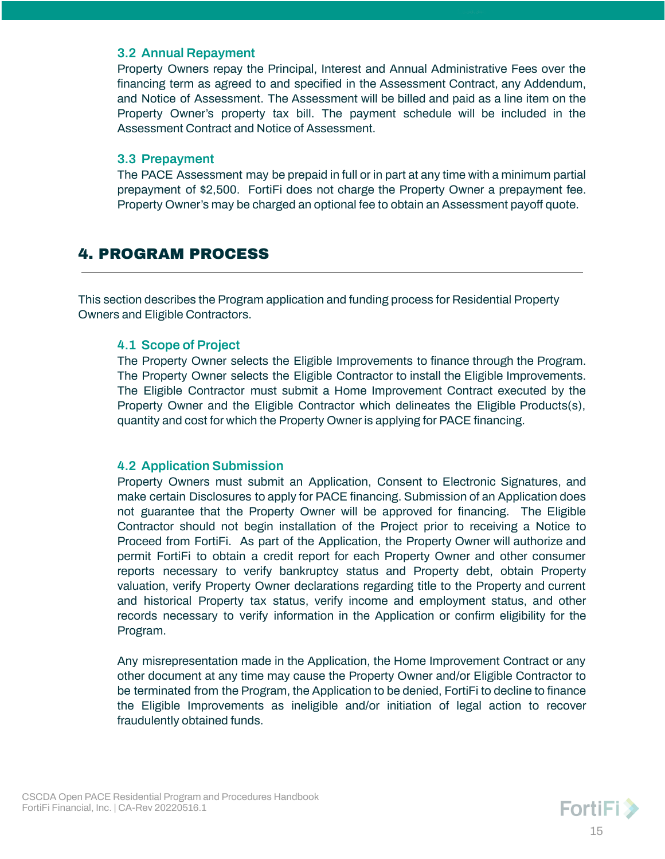#### <span id="page-14-0"></span>**3.2 Annual Repayment**

Property Owners repay the Principal, Interest and Annual Administrative Fees over the financing term as agreed to and specified in the Assessment Contract, any Addendum, and Notice of Assessment. The Assessment will be billed and paid as a line item on the Property Owner's property tax bill. The payment schedule will be included in the Assessment Contract and Notice of Assessment.

#### <span id="page-14-1"></span>**3.3 Prepayment**

The PACE Assessment may be prepaid in full or in part at any time with a minimum partial prepayment of \$2,500. FortiFi does not charge the Property Owner a prepayment fee. Property Owner's may be charged an optional fee to obtain an Assessment payoff quote.

# <span id="page-14-2"></span>4. PROGRAM PROCESS

This section describes the Program application and funding process for Residential Property Owners and Eligible Contractors.

#### <span id="page-14-3"></span>**4.1 Scope of Project**

The Property Owner selects the Eligible Improvements to finance through the Program. The Property Owner selects the Eligible Contractor to install the Eligible Improvements. The Eligible Contractor must submit a Home Improvement Contract executed by the Property Owner and the Eligible Contractor which delineates the Eligible Products(s), quantity and cost for which the Property Owner is applying for PACE financing.

# <span id="page-14-4"></span>**4.2 Application Submission**

Property Owners must submit an Application, Consent to Electronic Signatures, and make certain Disclosures to apply for PACE financing. Submission of an Application does not guarantee that the Property Owner will be approved for financing. The Eligible Contractor should not begin installation of the Project prior to receiving a Notice to Proceed from FortiFi. As part of the Application, the Property Owner will authorize and permit FortiFi to obtain a credit report for each Property Owner and other consumer reports necessary to verify bankruptcy status and Property debt, obtain Property valuation, verify Property Owner declarations regarding title to the Property and current and historical Property tax status, verify income and employment status, and other records necessary to verify information in the Application or confirm eligibility for the Program.

Any misrepresentation made in the Application, the Home Improvement Contract or any other document at any time may cause the Property Owner and/or Eligible Contractor to be terminated from the Program, the Application to be denied, FortiFi to decline to finance the Eligible Improvements as ineligible and/or initiation of legal action to recover fraudulently obtained funds.

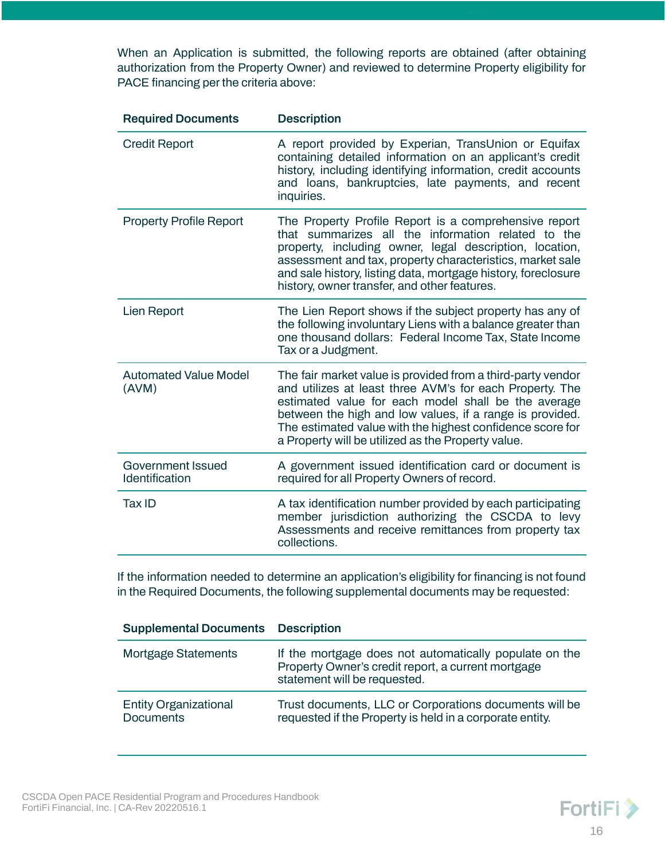When an Application is submitted, the following reports are obtained (after obtaining authorization from the Property Owner) and reviewed to determine Property eligibility for PACE financing per the criteria above:

| <b>Required Documents</b>             | <b>Description</b>                                                                                                                                                                                                                                                                                                                                            |
|---------------------------------------|---------------------------------------------------------------------------------------------------------------------------------------------------------------------------------------------------------------------------------------------------------------------------------------------------------------------------------------------------------------|
| <b>Credit Report</b>                  | A report provided by Experian, TransUnion or Equifax<br>containing detailed information on an applicant's credit<br>history, including identifying information, credit accounts<br>and loans, bankruptcies, late payments, and recent<br>inquiries.                                                                                                           |
| <b>Property Profile Report</b>        | The Property Profile Report is a comprehensive report<br>that summarizes all the information related to the<br>property, including owner, legal description, location,<br>assessment and tax, property characteristics, market sale<br>and sale history, listing data, mortgage history, foreclosure<br>history, owner transfer, and other features.          |
| <b>Lien Report</b>                    | The Lien Report shows if the subject property has any of<br>the following involuntary Liens with a balance greater than<br>one thousand dollars: Federal Income Tax, State Income<br>Tax or a Judgment.                                                                                                                                                       |
| <b>Automated Value Model</b><br>(AVM) | The fair market value is provided from a third-party vendor<br>and utilizes at least three AVM's for each Property. The<br>estimated value for each model shall be the average<br>between the high and low values, if a range is provided.<br>The estimated value with the highest confidence score for<br>a Property will be utilized as the Property value. |
| Government Issued<br>Identification   | A government issued identification card or document is<br>required for all Property Owners of record.                                                                                                                                                                                                                                                         |
| Tax ID                                | A tax identification number provided by each participating<br>member jurisdiction authorizing the CSCDA to levy<br>Assessments and receive remittances from property tax<br>collections.                                                                                                                                                                      |

If the information needed to determine an application's eligibility for financing is not found in the Required Documents, the following supplemental documents may be requested:

| <b>Supplemental Documents Description</b>        |                                                                                                                                              |
|--------------------------------------------------|----------------------------------------------------------------------------------------------------------------------------------------------|
| <b>Mortgage Statements</b>                       | If the mortgage does not automatically populate on the<br>Property Owner's credit report, a current mortgage<br>statement will be requested. |
| <b>Entity Organizational</b><br><b>Documents</b> | Trust documents, LLC or Corporations documents will be<br>requested if the Property is held in a corporate entity.                           |

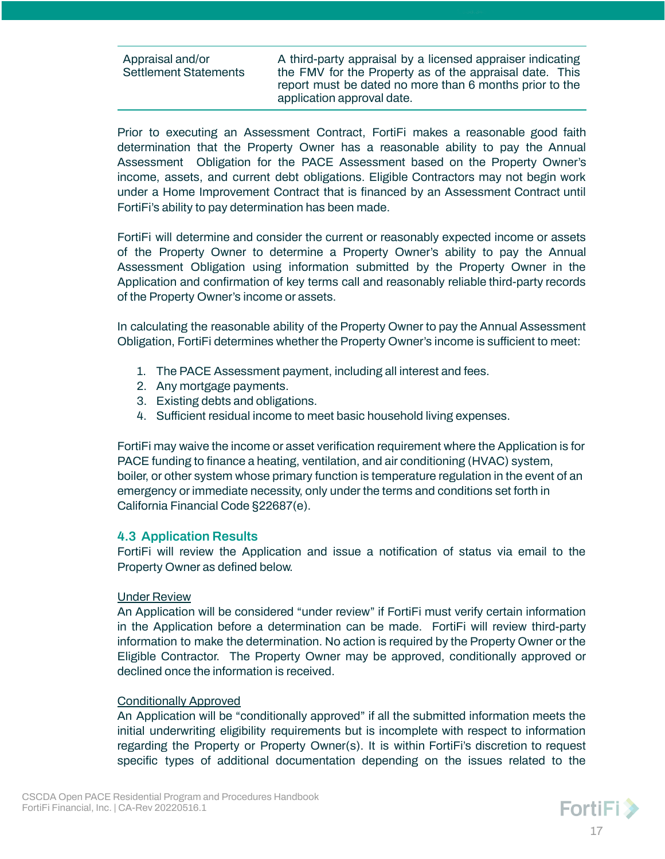| <b>Settlement Statements</b><br>application approval date. | Appraisal and/or | A third-party appraisal by a licensed appraiser indicating<br>the FMV for the Property as of the appraisal date. This<br>report must be dated no more than 6 months prior to the |
|------------------------------------------------------------|------------------|----------------------------------------------------------------------------------------------------------------------------------------------------------------------------------|
|------------------------------------------------------------|------------------|----------------------------------------------------------------------------------------------------------------------------------------------------------------------------------|

Prior to executing an Assessment Contract, FortiFi makes a reasonable good faith determination that the Property Owner has a reasonable ability to pay the Annual Assessment Obligation for the PACE Assessment based on the Property Owner's income, assets, and current debt obligations. Eligible Contractors may not begin work under a Home Improvement Contract that is financed by an Assessment Contract until FortiFi's ability to pay determination has been made.

FortiFi will determine and consider the current or reasonably expected income or assets of the Property Owner to determine a Property Owner's ability to pay the Annual Assessment Obligation using information submitted by the Property Owner in the Application and confirmation of key terms call and reasonably reliable third-party records of the Property Owner's income or assets.

In calculating the reasonable ability of the Property Owner to pay the Annual Assessment Obligation, FortiFi determines whether the Property Owner's income is sufficient to meet:

- 1. The PACE Assessment payment, including all interest and fees.
- 2. Any mortgage payments.
- 3. Existing debts and obligations.
- 4. Sufficient residual income to meet basic household living expenses.

FortiFi may waive the income or asset verification requirement where the Application is for PACE funding to finance a heating, ventilation, and air conditioning (HVAC) system, boiler, or other system whose primary function is temperature regulation in the event of an emergency or immediate necessity, only under the terms and conditions set forth in California Financial Code §22687(e).

# <span id="page-16-0"></span>**4.3 Application Results**

FortiFi will review the Application and issue a notification of status via email to the Property Owner as defined below.

#### Under Review

An Application will be considered "under review" if FortiFi must verify certain information in the Application before a determination can be made. FortiFi will review third-party information to make the determination. No action is required by the Property Owner or the Eligible Contractor. The Property Owner may be approved, conditionally approved or declined once the information is received.

#### Conditionally Approved

An Application will be "conditionally approved" if all the submitted information meets the initial underwriting eligibility requirements but is incomplete with respect to information regarding the Property or Property Owner(s). It is within FortiFi's discretion to request specific types of additional documentation depending on the issues related to the

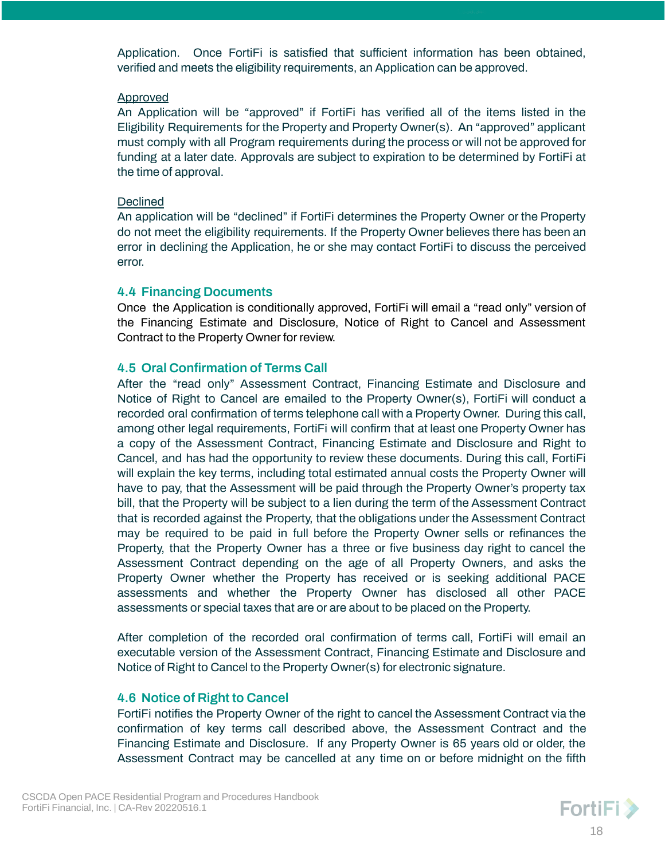Application. Once FortiFi is satisfied that sufficient information has been obtained, verified and meets the eligibility requirements, an Application can be approved.

#### **Approved**

An Application will be "approved" if FortiFi has verified all of the items listed in the Eligibility Requirements for the Property and Property Owner(s). An "approved" applicant must comply with all Program requirements during the process or will not be approved for funding at a later date. Approvals are subject to expiration to be determined by FortiFi at the time of approval.

#### Declined

An application will be "declined" if FortiFi determines the Property Owner or the Property do not meet the eligibility requirements. If the Property Owner believes there has been an error in declining the Application, he or she may contact FortiFi to discuss the perceived error.

#### <span id="page-17-0"></span>**4.4 Financing Documents**

Once the Application is conditionally approved, FortiFi will email a "read only" version of the Financing Estimate and Disclosure, Notice of Right to Cancel and Assessment Contract to the Property Owner for review.

# <span id="page-17-1"></span>**4.5 Oral Confirmation of Terms Call**

After the "read only" Assessment Contract, Financing Estimate and Disclosure and Notice of Right to Cancel are emailed to the Property Owner(s), FortiFi will conduct a recorded oral confirmation of terms telephone call with a Property Owner. During this call, among other legal requirements, FortiFi will confirm that at least one Property Owner has a copy of the Assessment Contract, Financing Estimate and Disclosure and Right to Cancel, and has had the opportunity to review these documents. During this call, FortiFi will explain the key terms, including total estimated annual costs the Property Owner will have to pay, that the Assessment will be paid through the Property Owner's property tax bill, that the Property will be subject to a lien during the term of the Assessment Contract that is recorded against the Property, that the obligations under the Assessment Contract may be required to be paid in full before the Property Owner sells or refinances the Property, that the Property Owner has a three or five business day right to cancel the Assessment Contract depending on the age of all Property Owners, and asks the Property Owner whether the Property has received or is seeking additional PACE assessments and whether the Property Owner has disclosed all other PACE assessments or special taxes that are or are about to be placed on the Property.

After completion of the recorded oral confirmation of terms call, FortiFi will email an executable version of the Assessment Contract, Financing Estimate and Disclosure and Notice of Right to Cancel to the Property Owner(s) for electronic signature.

# <span id="page-17-2"></span>**4.6 Notice of Right to Cancel**

FortiFi notifies the Property Owner of the right to cancel the Assessment Contract via the confirmation of key terms call described above, the Assessment Contract and the Financing Estimate and Disclosure. If any Property Owner is 65 years old or older, the Assessment Contract may be cancelled at any time on or before midnight on the fifth

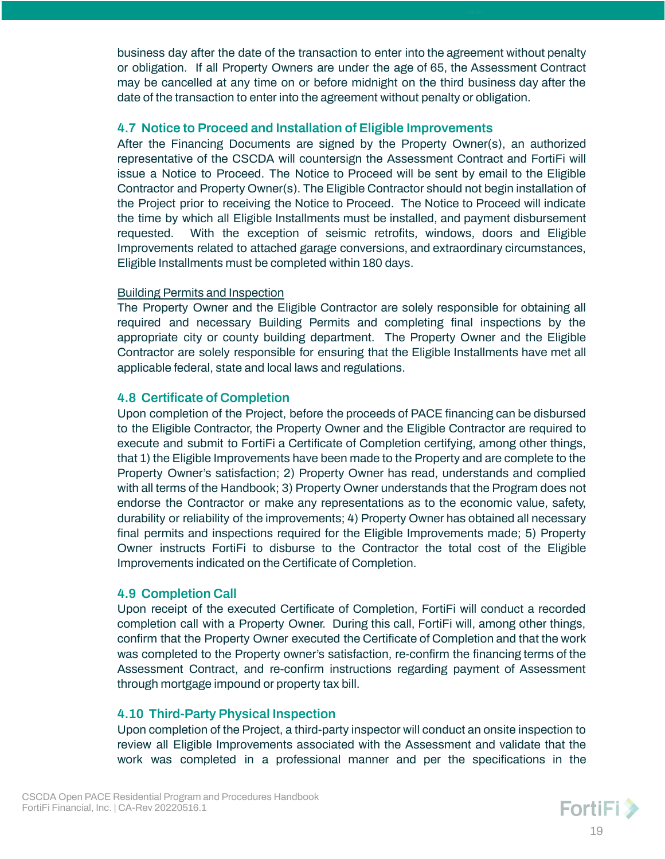business day after the date of the transaction to enter into the agreement without penalty or obligation. If all Property Owners are under the age of 65, the Assessment Contract may be cancelled at any time on or before midnight on the third business day after the date of the transaction to enter into the agreement without penalty or obligation.

### <span id="page-18-0"></span>**4.7 Notice to Proceed and Installation of Eligible Improvements**

After the Financing Documents are signed by the Property Owner(s), an authorized representative of the CSCDA will countersign the Assessment Contract and FortiFi will issue a Notice to Proceed. The Notice to Proceed will be sent by email to the Eligible Contractor and Property Owner(s). The Eligible Contractor should not begin installation of the Project prior to receiving the Notice to Proceed. The Notice to Proceed will indicate the time by which all Eligible Installments must be installed, and payment disbursement requested. With the exception of seismic retrofits, windows, doors and Eligible Improvements related to attached garage conversions, and extraordinary circumstances, Eligible Installments must be completed within 180 days.

# Building Permits and Inspection

The Property Owner and the Eligible Contractor are solely responsible for obtaining all required and necessary Building Permits and completing final inspections by the appropriate city or county building department. The Property Owner and the Eligible Contractor are solely responsible for ensuring that the Eligible Installments have met all applicable federal, state and local laws and regulations.

# <span id="page-18-1"></span>**4.8 Certificate of Completion**

Upon completion of the Project, before the proceeds of PACE financing can be disbursed to the Eligible Contractor, the Property Owner and the Eligible Contractor are required to execute and submit to FortiFi a Certificate of Completion certifying, among other things, that 1) the Eligible Improvements have been made to the Property and are complete to the Property Owner's satisfaction; 2) Property Owner has read, understands and complied with all terms of the Handbook; 3) Property Owner understands that the Program does not endorse the Contractor or make any representations as to the economic value, safety, durability or reliability of the improvements; 4) Property Owner has obtained all necessary final permits and inspections required for the Eligible Improvements made; 5) Property Owner instructs FortiFi to disburse to the Contractor the total cost of the Eligible Improvements indicated on the Certificate of Completion.

# <span id="page-18-2"></span>**4.9 Completion Call**

Upon receipt of the executed Certificate of Completion, FortiFi will conduct a recorded completion call with a Property Owner. During this call, FortiFi will, among other things, confirm that the Property Owner executed the Certificate of Completion and that the work was completed to the Property owner's satisfaction, re-confirm the financing terms of the Assessment Contract, and re-confirm instructions regarding payment of Assessment through mortgage impound or property tax bill.

# <span id="page-18-3"></span>**4.10 Third-Party Physical Inspection**

Upon completion of the Project, a third-party inspector will conduct an onsite inspection to review all Eligible Improvements associated with the Assessment and validate that the work was completed in a professional manner and per the specifications in the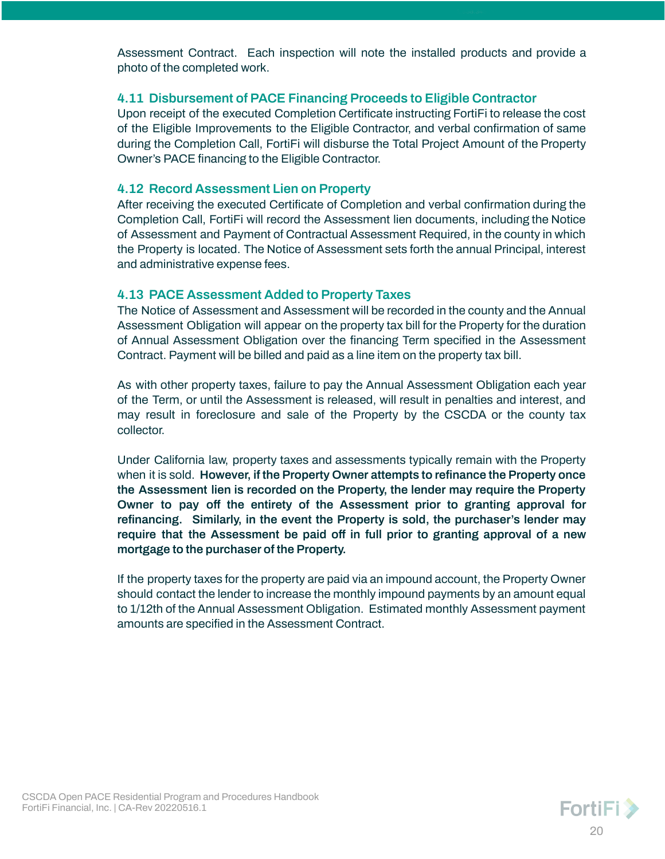Assessment Contract. Each inspection will note the installed products and provide a photo of the completed work.

# <span id="page-19-0"></span>**4.11 Disbursement of PACE Financing Proceeds to Eligible Contractor**

Upon receipt of the executed Completion Certificate instructing FortiFi to release the cost of the Eligible Improvements to the Eligible Contractor, and verbal confirmation of same during the Completion Call, FortiFi will disburse the Total Project Amount of the Property Owner's PACE financing to the Eligible Contractor.

# <span id="page-19-1"></span>**4.12 Record Assessment Lien on Property**

After receiving the executed Certificate of Completion and verbal confirmation during the Completion Call, FortiFi will record the Assessment lien documents, including the Notice of Assessment and Payment of Contractual Assessment Required, in the county in which the Property is located. The Notice of Assessment sets forth the annual Principal, interest and administrative expense fees.

# <span id="page-19-2"></span>**4.13 PACE Assessment Added to Property Taxes**

The Notice of Assessment and Assessment will be recorded in the county and the Annual Assessment Obligation will appear on the property tax bill for the Property for the duration of Annual Assessment Obligation over the financing Term specified in the Assessment Contract. Payment will be billed and paid as a line item on the property tax bill.

As with other property taxes, failure to pay the Annual Assessment Obligation each year of the Term, or until the Assessment is released, will result in penalties and interest, and may result in foreclosure and sale of the Property by the CSCDA or the county tax collector.

Under California law, property taxes and assessments typically remain with the Property when it is sold. **However, if the Property Owner attempts to refinance the Property once the Assessment lien is recorded on the Property, the lender may require the Property Owner to pay off the entirety of the Assessment prior to granting approval for refinancing. Similarly, in the event the Property is sold, the purchaser's lender may require that the Assessment be paid off in full prior to granting approval of a new mortgage to the purchaser of the Property.**

If the property taxes for the property are paid via an impound account, the Property Owner should contact the lender to increase the monthly impound payments by an amount equal to 1/12th of the Annual Assessment Obligation. Estimated monthly Assessment payment amounts are specified in the Assessment Contract.

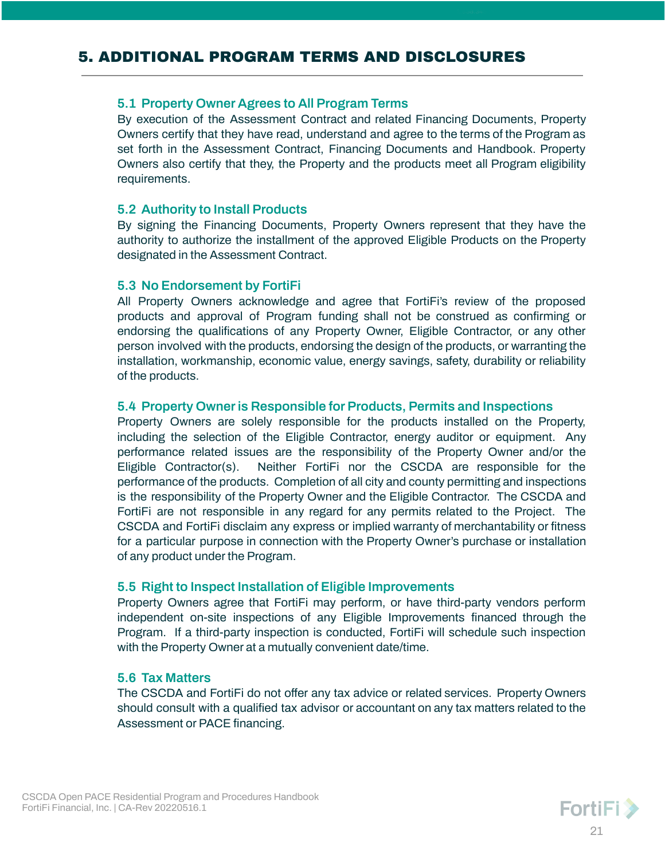# <span id="page-20-1"></span><span id="page-20-0"></span>**5.1 Property Owner Agrees to All Program Terms**

By execution of the Assessment Contract and related Financing Documents, Property Owners certify that they have read, understand and agree to the terms of the Program as set forth in the Assessment Contract, Financing Documents and Handbook. Property Owners also certify that they, the Property and the products meet all Program eligibility requirements.

# <span id="page-20-2"></span>**5.2 Authority to Install Products**

By signing the Financing Documents, Property Owners represent that they have the authority to authorize the installment of the approved Eligible Products on the Property designated in the Assessment Contract.

# <span id="page-20-3"></span>**5.3 No Endorsement by FortiFi**

All Property Owners acknowledge and agree that FortiFi's review of the proposed products and approval of Program funding shall not be construed as confirming or endorsing the qualifications of any Property Owner, Eligible Contractor, or any other person involved with the products, endorsing the design of the products, or warranting the installation, workmanship, economic value, energy savings, safety, durability or reliability of the products.

# <span id="page-20-4"></span>**5.4 Property Owneris Responsible for Products, Permits and Inspections**

Property Owners are solely responsible for the products installed on the Property, including the selection of the Eligible Contractor, energy auditor or equipment. Any performance related issues are the responsibility of the Property Owner and/or the Eligible Contractor(s). Neither FortiFi nor the CSCDA are responsible for the performance of the products. Completion of all city and county permitting and inspections is the responsibility of the Property Owner and the Eligible Contractor. The CSCDA and FortiFi are not responsible in any regard for any permits related to the Project. The CSCDA and FortiFi disclaim any express or implied warranty of merchantability or fitness for a particular purpose in connection with the Property Owner's purchase or installation of any product under the Program.

# <span id="page-20-5"></span>**5.5 Right to Inspect Installation of Eligible Improvements**

Property Owners agree that FortiFi may perform, or have third-party vendors perform independent on-site inspections of any Eligible Improvements financed through the Program. If a third-party inspection is conducted, FortiFi will schedule such inspection with the Property Owner at a mutually convenient date/time.

# <span id="page-20-6"></span>**5.6 Tax Matters**

The CSCDA and FortiFi do not offer any tax advice or related services. Property Owners should consult with a qualified tax advisor or accountant on any tax matters related to the Assessment or PACE financing.